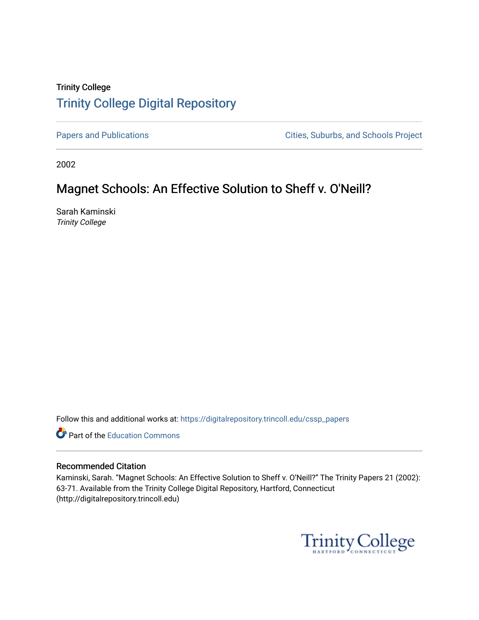# Trinity College [Trinity College Digital Repository](https://digitalrepository.trincoll.edu/)

[Papers and Publications](https://digitalrepository.trincoll.edu/cssp_papers) **Papers** and Publications **Cities**, Suburbs, and Schools Project

2002

# Magnet Schools: An Effective Solution to Sheff v. O'Neill?

Sarah Kaminski Trinity College

Follow this and additional works at: [https://digitalrepository.trincoll.edu/cssp\\_papers](https://digitalrepository.trincoll.edu/cssp_papers?utm_source=digitalrepository.trincoll.edu%2Fcssp_papers%2F9&utm_medium=PDF&utm_campaign=PDFCoverPages) 

Part of the [Education Commons](http://network.bepress.com/hgg/discipline/784?utm_source=digitalrepository.trincoll.edu%2Fcssp_papers%2F9&utm_medium=PDF&utm_campaign=PDFCoverPages)

### Recommended Citation

Kaminski, Sarah. "Magnet Schools: An Effective Solution to Sheff v. O'Neill?" The Trinity Papers 21 (2002): 63-71. Available from the Trinity College Digital Repository, Hartford, Connecticut (http://digitalrepository.trincoll.edu)

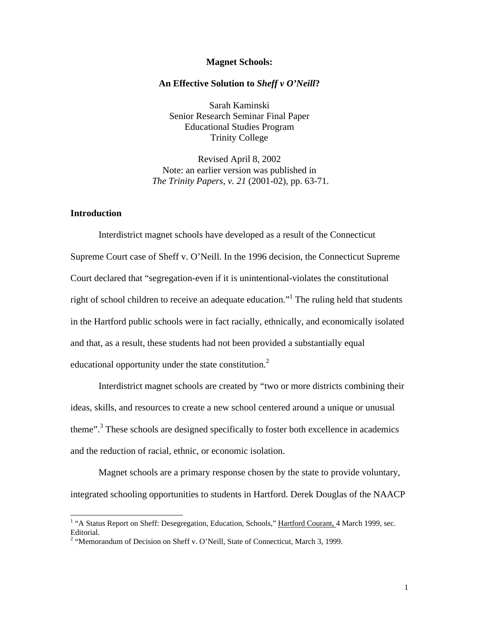#### **Magnet Schools:**

#### **An Effective Solution to** *Sheff v O'Neill***?**

Sarah Kaminski Senior Research Seminar Final Paper Educational Studies Program Trinity College

Revised April 8, 2002 Note: an earlier version was published in *The Trinity Papers, v. 21* (2001-02), pp. 63-71.

### **Introduction**

Interdistrict magnet schools have developed as a result of the Connecticut Supreme Court case of Sheff v. O'Neill. In the 1996 decision, the Connecticut Supreme Court declared that "segregation-even if it is unintentional-violates the constitutional right of school children to receive an adequate education."<sup>1</sup> The ruling held that students in the Hartford public schools were in fact racially, ethnically, and economically isolated and that, as a result, these students had not been provided a substantially equal educational opportunity under the state constitution.<sup>2</sup>

Interdistrict magnet schools are created by "two or more districts combining their ideas, skills, and resources to create a new school centered around a unique or unusual theme".<sup>3</sup> These schools are designed specifically to foster both excellence in academics and the reduction of racial, ethnic, or economic isolation.

Magnet schools are a primary response chosen by the state to provide voluntary, integrated schooling opportunities to students in Hartford. Derek Douglas of the NAACP

<sup>&</sup>lt;sup>1</sup> "A Status Report on Sheff: Desegregation, Education, Schools," Hartford Courant, 4 March 1999, sec. Editorial.

<sup>&</sup>lt;sup>2</sup> "Memorandum of Decision on Sheff v. O'Neill, State of Connecticut, March 3, 1999.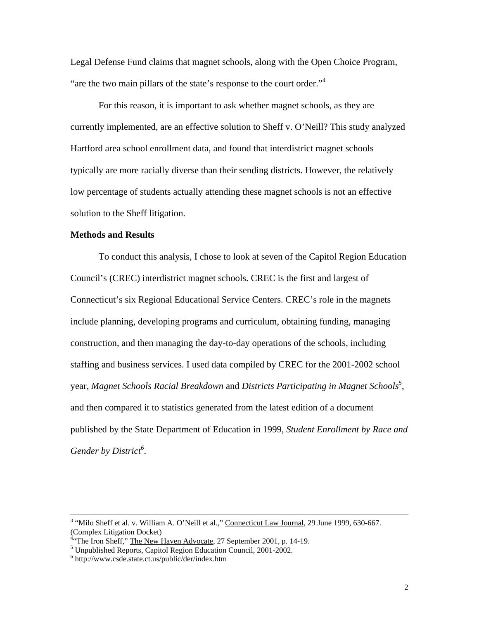Legal Defense Fund claims that magnet schools, along with the Open Choice Program, "are the two main pillars of the state's response to the court order."<sup>4</sup>

For this reason, it is important to ask whether magnet schools, as they are currently implemented, are an effective solution to Sheff v. O'Neill? This study analyzed Hartford area school enrollment data, and found that interdistrict magnet schools typically are more racially diverse than their sending districts. However, the relatively low percentage of students actually attending these magnet schools is not an effective solution to the Sheff litigation.

### **Methods and Results**

To conduct this analysis, I chose to look at seven of the Capitol Region Education Council's (CREC) interdistrict magnet schools. CREC is the first and largest of Connecticut's six Regional Educational Service Centers. CREC's role in the magnets include planning, developing programs and curriculum, obtaining funding, managing construction, and then managing the day-to-day operations of the schools, including staffing and business services. I used data compiled by CREC for the 2001-2002 school year, *Magnet Schools Racial Breakdown* and *Districts Participating in Magnet Schools<sup>5</sup>* , and then compared it to statistics generated from the latest edition of a document published by the State Department of Education in 1999, *Student Enrollment by Race and Gender by District<sup>6</sup>* .

<sup>&</sup>lt;sup>3</sup> "Milo Sheff et al. v. William A. O'Neill et al.," Connecticut Law Journal, 29 June 1999, 630-667. (Complex Litigation Docket)

<sup>&</sup>lt;sup>4</sup>"The Iron Sheff," The New Haven Advocate, 27 September 2001, p. 14-19.

<sup>&</sup>lt;sup>5</sup> Unpublished Reports, Capitol Region Education Council, 2001-2002.

<sup>6</sup> http://www.csde.state.ct.us/public/der/index.htm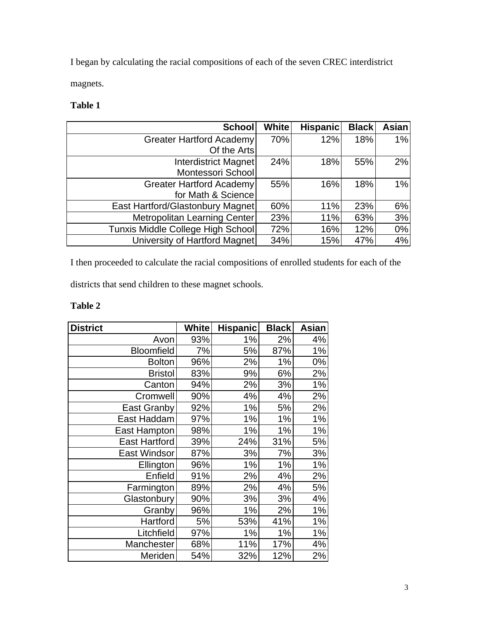I began by calculating the racial compositions of each of the seven CREC interdistrict magnets.

### **Table 1**

| <b>School</b>                     | <b>White</b> | <b>Hispanic</b> | <b>Black</b> | Asian |
|-----------------------------------|--------------|-----------------|--------------|-------|
| Greater Hartford Academy          | 70%          | 12%             | 18%          | 1%    |
| Of the Arts                       |              |                 |              |       |
| Interdistrict Magnet              | 24%          | 18%             | 55%          | 2%    |
| Montessori School                 |              |                 |              |       |
| <b>Greater Hartford Academy</b>   | 55%          | 16%             | 18%          | 1%    |
| for Math & Science                |              |                 |              |       |
| East Hartford/Glastonbury Magnet  | 60%          | 11%             | 23%          | 6%    |
| Metropolitan Learning Center      | 23%          | 11%             | 63%          | 3%    |
| Tunxis Middle College High School | 72%          | 16%             | 12%          | 0%    |
| University of Hartford Magnet     | 34%          | 15%             | 47%          | 4%    |

I then proceeded to calculate the racial compositions of enrolled students for each of the

districts that send children to these magnet schools.

### **Table 2**

| <b>District</b>      | <b>White</b> | <b>Hispanic</b> | <b>Black</b> | Asian |
|----------------------|--------------|-----------------|--------------|-------|
| Avon                 | 93%          | 1%              | 2%           | 4%    |
| <b>Bloomfield</b>    | 7%           | 5%              | 87%          | 1%    |
| <b>Bolton</b>        | 96%          | 2%              | 1%           | 0%    |
| <b>Bristol</b>       | 83%          | 9%              | 6%           | 2%    |
| Canton               | 94%          | 2%              | 3%           | 1%    |
| Cromwell             | 90%          | 4%              | 4%           | 2%    |
| <b>East Granby</b>   | 92%          | 1%              | 5%           | 2%    |
| East Haddam          | 97%          | 1%              | 1%           | 1%    |
| East Hampton         | 98%          | 1%              | 1%           | 1%    |
| <b>East Hartford</b> | 39%          | 24%             | 31%          | 5%    |
| <b>East Windsor</b>  | 87%          | 3%              | 7%           | 3%    |
| Ellington            | 96%          | 1%              | 1%           | $1\%$ |
| Enfield              | 91%          | 2%              | 4%           | 2%    |
| Farmington           | 89%          | 2%              | 4%           | 5%    |
| Glastonbury          | 90%          | 3%              | 3%           | 4%    |
| Granby               | 96%          | $1\%$           | 2%           | $1\%$ |
| Hartford             | 5%           | 53%             | 41%          | 1%    |
| Litchfield           | 97%          | 1%              | 1%           | 1%    |
| Manchester           | 68%          | 11%             | 17%          | 4%    |
| Meriden              | 54%          | 32%             | 12%          | 2%    |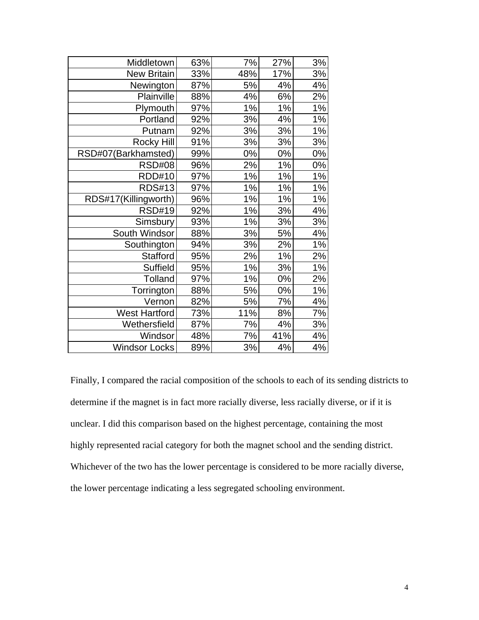| Middletown           | 63% | 7%  | 27% | 3%    |
|----------------------|-----|-----|-----|-------|
| <b>New Britain</b>   | 33% | 48% | 17% | 3%    |
| Newington            | 87% | 5%  | 4%  | 4%    |
| Plainville           | 88% | 4%  | 6%  | 2%    |
| Plymouth             | 97% | 1%  | 1%  | 1%    |
| Portland             | 92% | 3%  | 4%  | $1\%$ |
| Putnam               | 92% | 3%  | 3%  | 1%    |
| <b>Rocky Hill</b>    | 91% | 3%  | 3%  | 3%    |
| RSD#07(Barkhamsted)  | 99% | 0%  | 0%  | 0%    |
| <b>RSD#08</b>        | 96% | 2%  | 1%  | 0%    |
| <b>RDD#10</b>        | 97% | 1%  | 1%  | 1%    |
| <b>RDS#13</b>        | 97% | 1%  | 1%  | $1\%$ |
| RDS#17(Killingworth) | 96% | 1%  | 1%  | 1%    |
| <b>RSD#19</b>        | 92% | 1%  | 3%  | 4%    |
| Simsbury             | 93% | 1%  | 3%  | 3%    |
| South Windsor        | 88% | 3%  | 5%  | 4%    |
| Southington          | 94% | 3%  | 2%  | $1\%$ |
| <b>Stafford</b>      | 95% | 2%  | 1%  | 2%    |
| <b>Suffield</b>      | 95% | 1%  | 3%  | $1\%$ |
| Tolland              | 97% | 1%  | 0%  | 2%    |
| Torrington           | 88% | 5%  | 0%  | 1%    |
| Vernon               | 82% | 5%  | 7%  | 4%    |
| <b>West Hartford</b> | 73% | 11% | 8%  | 7%    |
| Wethersfield         | 87% | 7%  | 4%  | 3%    |
| Windsor              | 48% | 7%  | 41% | 4%    |
| <b>Windsor Locks</b> | 89% | 3%  | 4%  | 4%    |

Finally, I compared the racial composition of the schools to each of its sending districts to determine if the magnet is in fact more racially diverse, less racially diverse, or if it is unclear. I did this comparison based on the highest percentage, containing the most highly represented racial category for both the magnet school and the sending district. Whichever of the two has the lower percentage is considered to be more racially diverse, the lower percentage indicating a less segregated schooling environment.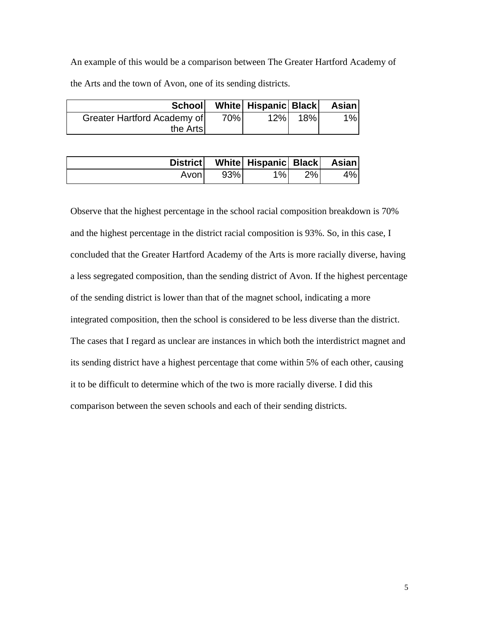An example of this would be a comparison between The Greater Hartford Academy of the Arts and the town of Avon, one of its sending districts.

|                             |     | School White Hispanic Black |     | Asian |
|-----------------------------|-----|-----------------------------|-----|-------|
| Greater Hartford Academy of | 70% | 12%                         | 18% | 1%    |
| the Arts                    |     |                             |     |       |

|       |     | District   White   Hispanic   Black   Asian |       |    |
|-------|-----|---------------------------------------------|-------|----|
| Avon! | 93% | $1\%$                                       | $2\%$ | 4% |

Observe that the highest percentage in the school racial composition breakdown is 70% and the highest percentage in the district racial composition is 93%. So, in this case, I concluded that the Greater Hartford Academy of the Arts is more racially diverse, having a less segregated composition, than the sending district of Avon. If the highest percentage of the sending district is lower than that of the magnet school, indicating a more integrated composition, then the school is considered to be less diverse than the district. The cases that I regard as unclear are instances in which both the interdistrict magnet and its sending district have a highest percentage that come within 5% of each other, causing it to be difficult to determine which of the two is more racially diverse. I did this comparison between the seven schools and each of their sending districts.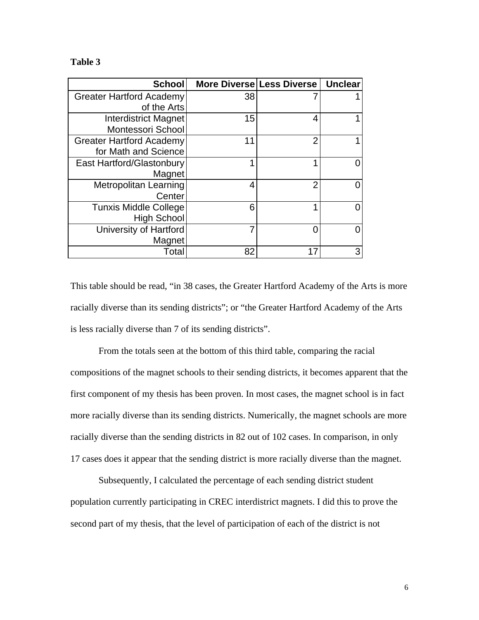### **Table 3**

| <b>School</b>                   | More Diverse Less Diverse |                | <b>Unclear</b> |
|---------------------------------|---------------------------|----------------|----------------|
| <b>Greater Hartford Academy</b> | 38                        |                |                |
| of the Arts                     |                           |                |                |
| <b>Interdistrict Magnet</b>     | 15                        | 4              |                |
| Montessori School               |                           |                |                |
| <b>Greater Hartford Academy</b> | 11                        | $\overline{2}$ |                |
| for Math and Science            |                           |                |                |
| East Hartford/Glastonbury       | и                         | ◀              |                |
| Magnet                          |                           |                |                |
| Metropolitan Learning           | 4                         | $\overline{2}$ |                |
| Center                          |                           |                |                |
| <b>Tunxis Middle College</b>    | 6                         | и              |                |
| <b>High School</b>              |                           |                |                |
| University of Hartford          |                           | 0              |                |
| Magnet                          |                           |                |                |
| Total                           | 82                        | 17             | 3              |

This table should be read, "in 38 cases, the Greater Hartford Academy of the Arts is more racially diverse than its sending districts"; or "the Greater Hartford Academy of the Arts is less racially diverse than 7 of its sending districts".

From the totals seen at the bottom of this third table, comparing the racial compositions of the magnet schools to their sending districts, it becomes apparent that the first component of my thesis has been proven. In most cases, the magnet school is in fact more racially diverse than its sending districts. Numerically, the magnet schools are more racially diverse than the sending districts in 82 out of 102 cases. In comparison, in only 17 cases does it appear that the sending district is more racially diverse than the magnet.

Subsequently, I calculated the percentage of each sending district student population currently participating in CREC interdistrict magnets. I did this to prove the second part of my thesis, that the level of participation of each of the district is not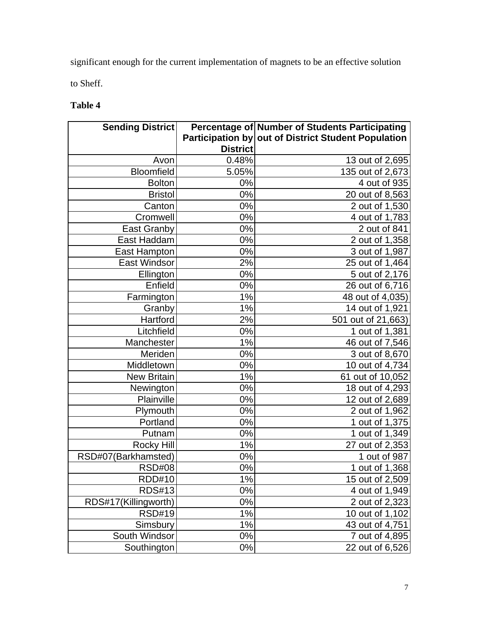significant enough for the current implementation of magnets to be an effective solution to Sheff.

# **Table 4**

| <b>Sending District</b> |                 | Percentage of Number of Students Participating      |
|-------------------------|-----------------|-----------------------------------------------------|
|                         |                 | Participation by out of District Student Population |
|                         | <b>District</b> |                                                     |
| Avon                    | 0.48%           | 13 out of 2,695                                     |
| <b>Bloomfield</b>       | 5.05%           | 135 out of 2,673                                    |
| <b>Bolton</b>           | 0%              | 4 out of 935                                        |
| <b>Bristol</b>          | $0\%$           | 20 out of 8,563                                     |
| Canton                  | 0%              | 2 out of 1,530                                      |
| Cromwell                | $0\%$           | 4 out of 1,783                                      |
| <b>East Granby</b>      | 0%              | 2 out of 841                                        |
| East Haddam             | $0\%$           | 2 out of 1,358                                      |
| East Hampton            | $0\%$           | 3 out of 1,987                                      |
| East Windsor            | 2%              | 25 out of 1,464                                     |
| Ellington               | $0\%$           | 5 out of 2,176                                      |
| Enfield                 | $0\%$           | 26 out of 6,716                                     |
| Farmington              | 1%              | 48 out of 4,035)                                    |
| Granby                  | 1%              | 14 out of 1,921                                     |
| Hartford                | 2%              | 501 out of 21,663)                                  |
| Litchfield              | $0\%$           | 1 out of 1,381                                      |
| Manchester              | 1%              | 46 out of 7,546                                     |
| Meriden                 | $0\%$           | 3 out of 8,670                                      |
| Middletown              | 0%              | 10 out of 4,734                                     |
| <b>New Britain</b>      | 1%              | 61 out of 10,052                                    |
| Newington               | 0%              | 18 out of 4,293                                     |
| Plainville              | $0\%$           | 12 out of 2,689                                     |
| Plymouth                | $0\%$           | 2 out of 1,962                                      |
| Portland                | 0%              | 1 out of 1,375                                      |
| Putnam                  | $0\%$           | 1 out of 1,349                                      |
| <b>Rocky Hill</b>       | 1%              | 27 out of 2,353                                     |
| RSD#07(Barkhamsted)     | $0\%$           | 1 out of 987                                        |
| <b>RSD#08</b>           | 0%              | 1 out of 1,368                                      |
| RDD#10                  | 1%              | 15 out of 2,509                                     |
| <b>RDS#13</b>           | 0%              | 4 out of 1,949                                      |
| RDS#17(Killingworth)    | 0%              | 2 out of 2,323                                      |
| <b>RSD#19</b>           | 1%              | 10 out of 1,102                                     |
| Simsbury                | 1%              | 43 out of 4,751                                     |
| South Windsor           | $0\%$           | 7 out of 4,895                                      |
| Southington             | 0%              | 22 out of 6,526                                     |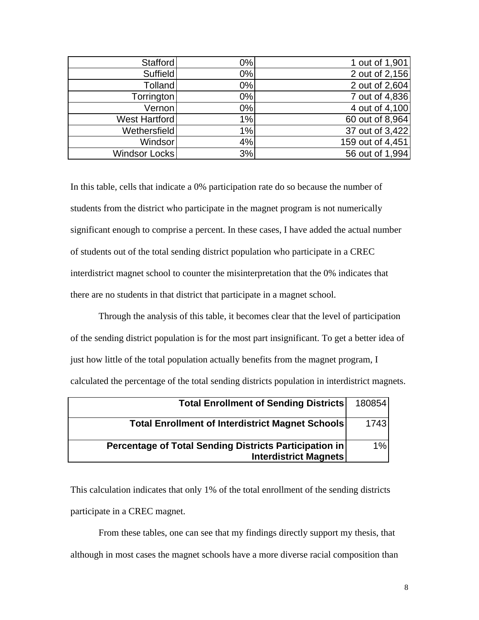| Stafford       | $0\%$ | 1 out of 1,901   |
|----------------|-------|------------------|
| Suffield       | 0%    | 2 out of 2,156   |
| <b>Tolland</b> | 0%    | 2 out of 2,604   |
| Torrington     | 0%    | 7 out of 4,836   |
| Vernon         | 0%    | 4 out of 4,100   |
| West Hartford  | 1%    | 60 out of 8,964  |
| Wethersfield   | 1%    | 37 out of 3,422  |
| <b>Windsor</b> | 4%    | 159 out of 4,451 |
| Windsor Locks  | 3%    | 56 out of 1,994  |

In this table, cells that indicate a 0% participation rate do so because the number of students from the district who participate in the magnet program is not numerically significant enough to comprise a percent. In these cases, I have added the actual number of students out of the total sending district population who participate in a CREC interdistrict magnet school to counter the misinterpretation that the 0% indicates that there are no students in that district that participate in a magnet school.

Through the analysis of this table, it becomes clear that the level of participation of the sending district population is for the most part insignificant. To get a better idea of just how little of the total population actually benefits from the magnet program, I calculated the percentage of the total sending districts population in interdistrict magnets.

| <b>Total Enrollment of Sending Districts</b>                                           | 180854 |
|----------------------------------------------------------------------------------------|--------|
| <b>Total Enrollment of Interdistrict Magnet Schools</b>                                | 1743   |
| Percentage of Total Sending Districts Participation in<br><b>Interdistrict Magnets</b> | 1%     |

This calculation indicates that only 1% of the total enrollment of the sending districts participate in a CREC magnet.

From these tables, one can see that my findings directly support my thesis, that although in most cases the magnet schools have a more diverse racial composition than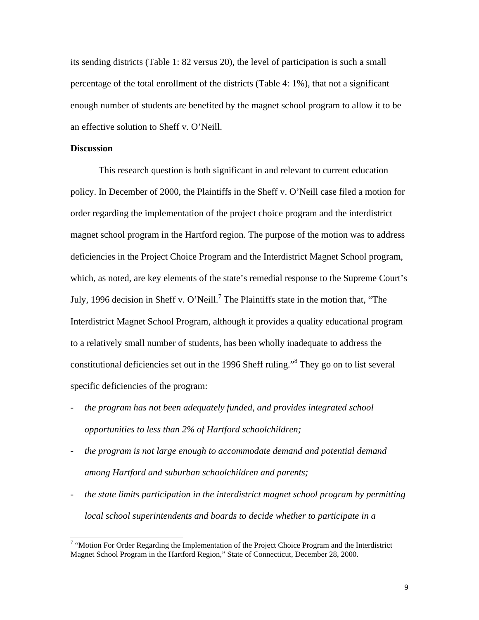its sending districts (Table 1: 82 versus 20), the level of participation is such a small percentage of the total enrollment of the districts (Table 4: 1%), that not a significant enough number of students are benefited by the magnet school program to allow it to be an effective solution to Sheff v. O'Neill.

### **Discussion**

 $\overline{a}$ 

This research question is both significant in and relevant to current education policy. In December of 2000, the Plaintiffs in the Sheff v. O'Neill case filed a motion for order regarding the implementation of the project choice program and the interdistrict magnet school program in the Hartford region. The purpose of the motion was to address deficiencies in the Project Choice Program and the Interdistrict Magnet School program, which, as noted, are key elements of the state's remedial response to the Supreme Court's July, 1996 decision in Sheff v. O'Neill.<sup>7</sup> The Plaintiffs state in the motion that, "The Interdistrict Magnet School Program, although it provides a quality educational program to a relatively small number of students, has been wholly inadequate to address the constitutional deficiencies set out in the 1996 Sheff ruling."<sup>8</sup> They go on to list several specific deficiencies of the program:

- *the program has not been adequately funded, and provides integrated school opportunities to less than 2% of Hartford schoolchildren;*
- *the program is not large enough to accommodate demand and potential demand among Hartford and suburban schoolchildren and parents;*
- *the state limits participation in the interdistrict magnet school program by permitting local school superintendents and boards to decide whether to participate in a*

 $7$  "Motion For Order Regarding the Implementation of the Project Choice Program and the Interdistrict Magnet School Program in the Hartford Region," State of Connecticut, December 28, 2000.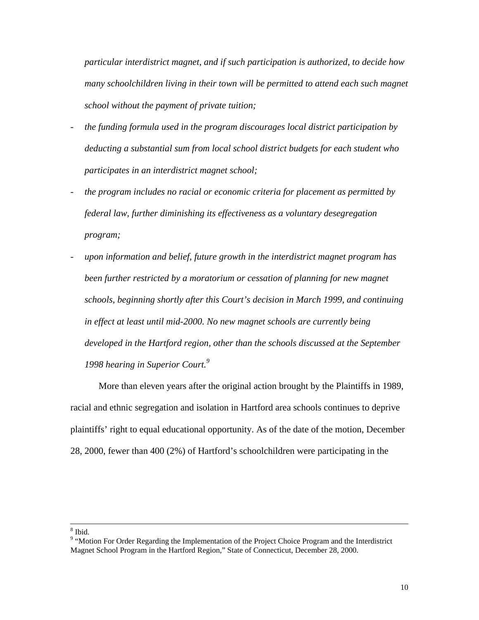*particular interdistrict magnet, and if such participation is authorized, to decide how many schoolchildren living in their town will be permitted to attend each such magnet school without the payment of private tuition;*

- *the funding formula used in the program discourages local district participation by deducting a substantial sum from local school district budgets for each student who participates in an interdistrict magnet school;*
- *the program includes no racial or economic criteria for placement as permitted by federal law, further diminishing its effectiveness as a voluntary desegregation program;*
- upon information and belief, future growth in the interdistrict magnet program has *been further restricted by a moratorium or cessation of planning for new magnet schools, beginning shortly after this Court's decision in March 1999, and continuing in effect at least until mid-2000. No new magnet schools are currently being developed in the Hartford region, other than the schools discussed at the September 1998 hearing in Superior Court.<sup>9</sup>*

More than eleven years after the original action brought by the Plaintiffs in 1989, racial and ethnic segregation and isolation in Hartford area schools continues to deprive plaintiffs' right to equal educational opportunity. As of the date of the motion, December 28, 2000, fewer than 400 (2%) of Hartford's schoolchildren were participating in the

 $\overline{a}$ 

<sup>8</sup> Ibid.

<sup>&</sup>lt;sup>9</sup> "Motion For Order Regarding the Implementation of the Project Choice Program and the Interdistrict Magnet School Program in the Hartford Region," State of Connecticut, December 28, 2000.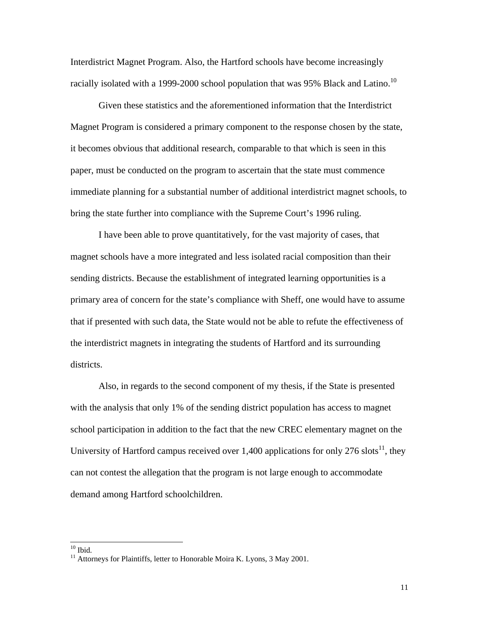Interdistrict Magnet Program. Also, the Hartford schools have become increasingly racially isolated with a 1999-2000 school population that was 95% Black and Latino.<sup>10</sup>

Given these statistics and the aforementioned information that the Interdistrict Magnet Program is considered a primary component to the response chosen by the state, it becomes obvious that additional research, comparable to that which is seen in this paper, must be conducted on the program to ascertain that the state must commence immediate planning for a substantial number of additional interdistrict magnet schools, to bring the state further into compliance with the Supreme Court's 1996 ruling.

I have been able to prove quantitatively, for the vast majority of cases, that magnet schools have a more integrated and less isolated racial composition than their sending districts. Because the establishment of integrated learning opportunities is a primary area of concern for the state's compliance with Sheff, one would have to assume that if presented with such data, the State would not be able to refute the effectiveness of the interdistrict magnets in integrating the students of Hartford and its surrounding districts.

Also, in regards to the second component of my thesis, if the State is presented with the analysis that only 1% of the sending district population has access to magnet school participation in addition to the fact that the new CREC elementary magnet on the University of Hartford campus received over 1,400 applications for only 276 slots<sup>11</sup>, they can not contest the allegation that the program is not large enough to accommodate demand among Hartford schoolchildren.

 $\overline{a}$ 

 $10$  Ibid.

<sup>&</sup>lt;sup>11</sup> Attorneys for Plaintiffs, letter to Honorable Moira K. Lyons, 3 May 2001.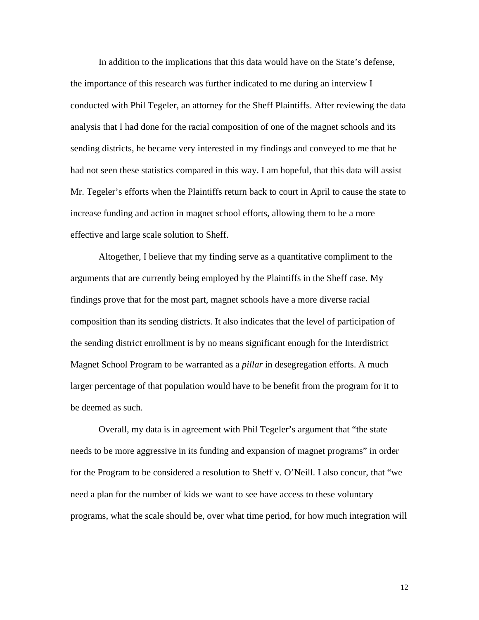In addition to the implications that this data would have on the State's defense, the importance of this research was further indicated to me during an interview I conducted with Phil Tegeler, an attorney for the Sheff Plaintiffs. After reviewing the data analysis that I had done for the racial composition of one of the magnet schools and its sending districts, he became very interested in my findings and conveyed to me that he had not seen these statistics compared in this way. I am hopeful, that this data will assist Mr. Tegeler's efforts when the Plaintiffs return back to court in April to cause the state to increase funding and action in magnet school efforts, allowing them to be a more effective and large scale solution to Sheff.

Altogether, I believe that my finding serve as a quantitative compliment to the arguments that are currently being employed by the Plaintiffs in the Sheff case. My findings prove that for the most part, magnet schools have a more diverse racial composition than its sending districts. It also indicates that the level of participation of the sending district enrollment is by no means significant enough for the Interdistrict Magnet School Program to be warranted as a *pillar* in desegregation efforts. A much larger percentage of that population would have to be benefit from the program for it to be deemed as such.

Overall, my data is in agreement with Phil Tegeler's argument that "the state needs to be more aggressive in its funding and expansion of magnet programs" in order for the Program to be considered a resolution to Sheff v. O'Neill. I also concur, that "we need a plan for the number of kids we want to see have access to these voluntary programs, what the scale should be, over what time period, for how much integration will

12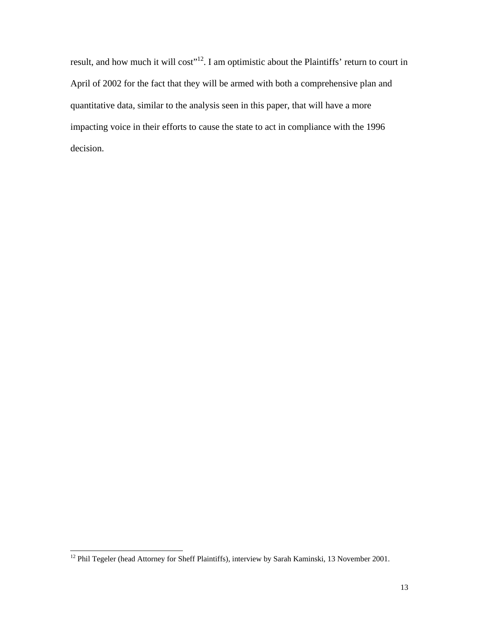result, and how much it will cost"<sup>12</sup>. I am optimistic about the Plaintiffs' return to court in April of 2002 for the fact that they will be armed with both a comprehensive plan and quantitative data, similar to the analysis seen in this paper, that will have a more impacting voice in their efforts to cause the state to act in compliance with the 1996 decision.

 $\overline{a}$ 

<sup>&</sup>lt;sup>12</sup> Phil Tegeler (head Attorney for Sheff Plaintiffs), interview by Sarah Kaminski, 13 November 2001.